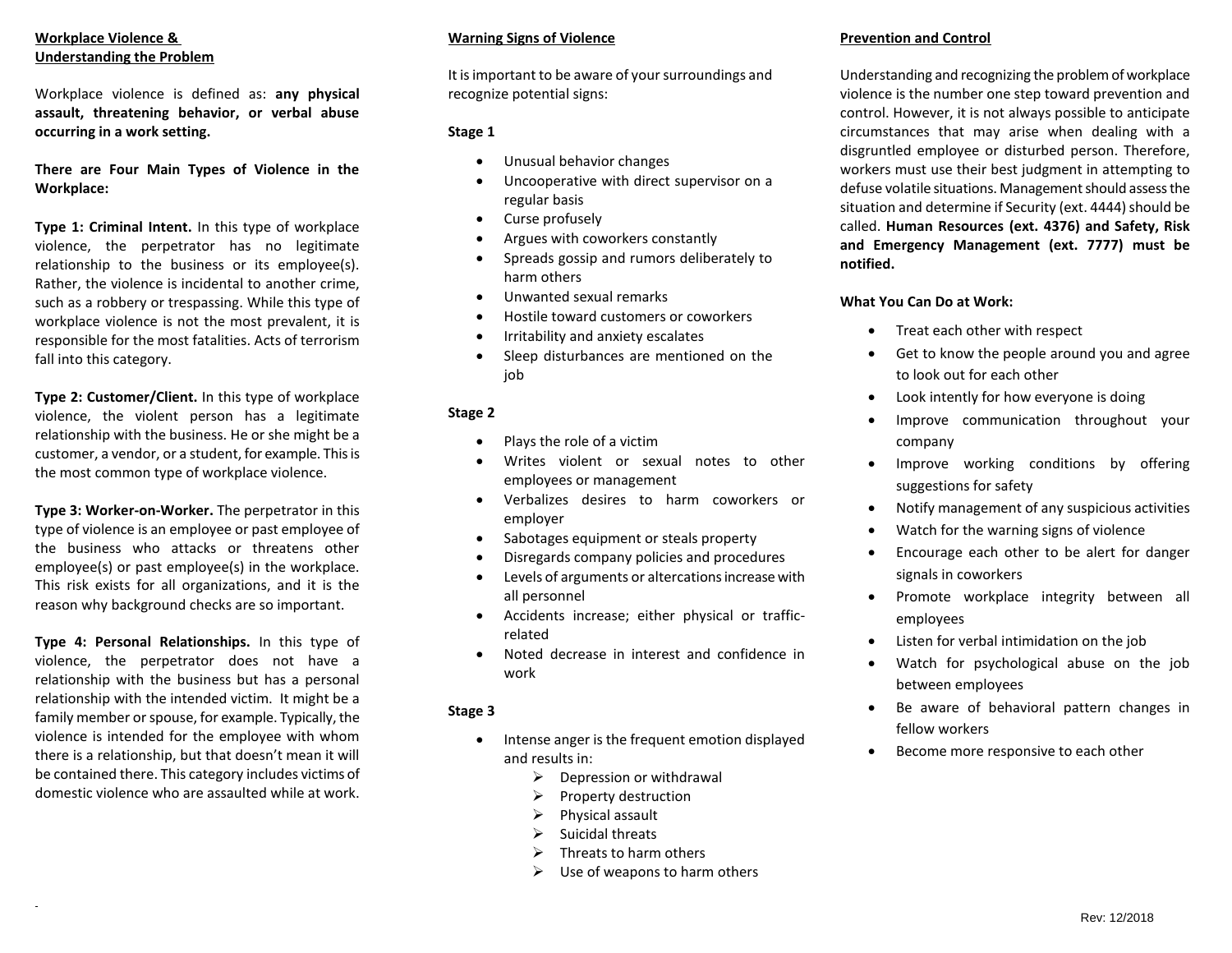# **Workplace Violence & Understanding the Problem**

Workplace violence is defined as: **any physical assault, threatening behavior, or verbal abuse occurring in a work setting.**

**There are Four Main Types of Violence in the Workplace:**

**Type 1: Criminal Intent.** In this type of workplace violence, the perpetrator has no legitimate relationship to the business or its employee(s). Rather, the violence is incidental to another crime, such as a robbery or trespassing. While this type of workplace violence is not the most prevalent, it is responsible for the most fatalities. Acts of terrorism fall into this category.

**Type 2: Customer/Client.** In this type of workplace violence, the violent person has a legitimate relationship with the business. He or she might be a customer, a vendor, or a student, for example. This is the most common type of workplace violence.

**Type 3: Worker-on-Worker.** The perpetrator in this type of violence is an employee or past employee of the business who attacks or threatens other employee(s) or past employee(s) in the workplace. This risk exists for all organizations, and it is the reason why background checks are so important.

**Type 4: Personal Relationships.** In this type of violence, the perpetrator does not have a relationship with the business but has a personal relationship with the intended victim. It might be a family member or spouse, for example. Typically, the violence is intended for the employee with whom there is a relationship, but that doesn't mean it will be contained there. This category includes victims of domestic violence who are assaulted while at work.

## **Warning Signs of Violence**

It is important to be aware of your surroundings and recognize potential signs:

#### **Stage 1**

- Unusual behavior changes
- Uncooperative with direct supervisor on a regular basis
- Curse profusely
- Argues with coworkers constantly
- Spreads gossip and rumors deliberately to harm others
- Unwanted sexual remarks
- Hostile toward customers or coworkers
- **•** Irritability and anxiety escalates
- Sleep disturbances are mentioned on the job

# **Stage 2**

- Plays the role of a victim
- Writes violent or sexual notes to other employees or management
- Verbalizes desires to harm coworkers or employer
- Sabotages equipment or steals property
- Disregards company policies and procedures
- Levels of arguments or altercations increase with all personnel
- Accidents increase; either physical or trafficrelated
- Noted decrease in interest and confidence in work

## **Stage 3**

- Intense anger is the frequent emotion displayed and results in:
	- $\triangleright$  Depression or withdrawal
	- $\triangleright$  Property destruction
	- $\triangleright$  Physical assault
	- $\triangleright$  Suicidal threats
	- $\triangleright$  Threats to harm others
	- $\triangleright$  Use of weapons to harm others

# **Prevention and Control**

Understanding and recognizing the problem of workplace violence is the number one step toward prevention and control. However, it is not always possible to anticipate circumstances that may arise when dealing with a disgruntled employee or disturbed person. Therefore, workers must use their best judgment in attempting to defuse volatile situations. Management should assess the situation and determine if Security (ext. 4444) should be called. **Human Resources (ext. 4376) and Safety, Risk and Emergency Management (ext. 7777) must be notified.**

## **What You Can Do at Work:**

- Treat each other with respect
- Get to know the people around you and agree to look out for each other
- Look intently for how everyone is doing
- Improve communication throughout your company
- Improve working conditions by offering suggestions for safety
- Notify management of any suspicious activities
- Watch for the warning signs of violence
- Encourage each other to be alert for danger signals in coworkers
- Promote workplace integrity between all employees
- Listen for verbal intimidation on the job
- Watch for psychological abuse on the job between employees
- Be aware of behavioral pattern changes in fellow workers
- Become more responsive to each other